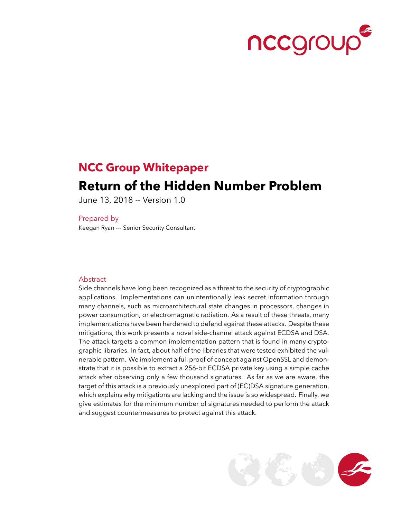

# **NCC Group Whitepaper**

## **Return of the Hidden Number Problem**

June 13, 2018 -- Version 1.0

Prepared by

Keegan Ryan --- Senior Security Consultant

#### Abstract

Side channels have long been recognized as a threat to the security of cryptographic applications. Implementations can unintentionally leak secret information through many channels, such as microarchitectural state changes in processors, changes in power consumption, or electromagnetic radiation. As a result of these threats, many implementations have been hardened to defend against these attacks. Despite these mitigations, this work presents a novel side-channel attack against ECDSA and DSA. The attack targets a common implementation pattern that is found in many cryptographic libraries. In fact, about half of the libraries that were tested exhibited the vulnerable pattern. We implement a full proof of concept against OpenSSL and demonstrate that it is possible to extract a 256-bit ECDSA private key using a simple cache attack after observing only a few thousand signatures. As far as we are aware, the target of this attack is a previously unexplored part of (EC)DSA signature generation, which explains why mitigations are lacking and the issue is so widespread. Finally, we give estimates for the minimum number of signatures needed to perform the attack and suggest countermeasures to protect against this attack.

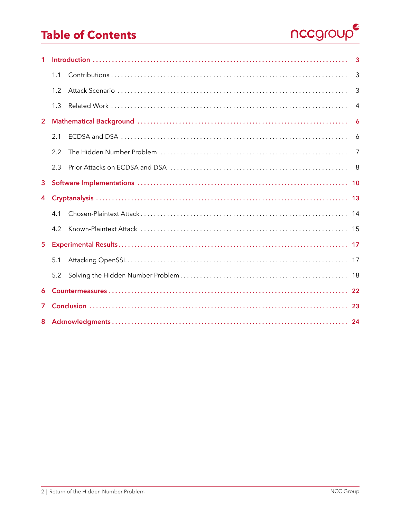# **Table of Contents**



| $\mathbf{1}$   | 3   |  |    |
|----------------|-----|--|----|
|                | 1.1 |  | 3  |
|                | 1.2 |  | 3  |
|                | 1.3 |  | 4  |
| $\overline{2}$ |     |  | 6  |
|                | 2.1 |  | 6  |
|                | 2.2 |  | 7  |
|                | 2.3 |  | 8  |
| 3              |     |  |    |
|                |     |  |    |
| 4              |     |  |    |
|                | 41  |  |    |
|                | 4.2 |  |    |
| 5 <sup>5</sup> |     |  |    |
|                | 5.1 |  |    |
|                | 5.2 |  |    |
| 6              |     |  | 22 |
| 7              |     |  |    |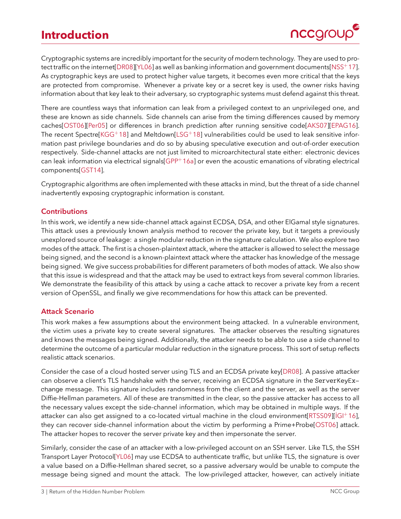<span id="page-2-3"></span><span id="page-2-0"></span>Cryptographic systems are incredibly important for the security of modern technology. They are used to protect traffic on the internet[\[DR08\]](#page-25-0)[\[YL06\]](#page-28-0) as well as banking information and government documents[\[NSS](#page-27-0)+17]. As cryptographic keys are used to protect higher value targets, it becomes even more critical that the keys are protected from compromise. Whenever a private key or a secret key is used, the owner risks having information about that key leak to their adversary, so cryptographic systems must defend against this threat.

There are countless ways that information can leak from a privileged context to an unprivileged one, and these are known as side channels. Side channels can arise from the timing differences caused by memory caches[\[OST06\]](#page-27-1)[\[Per05\]](#page-27-2) or differences in branch prediction after running sensitive code[\[AKS07\]](#page-24-0)[\[EPAG16\]](#page-25-1). The recent Spectre[\[KGG](#page-26-0)+18] and Meltdown[\[LSG](#page-26-1)+18] vulnerabilities could be used to leak sensitive information past privilege boundaries and do so by abusing speculative execution and out-of-order execution respectively. Side-channel attacks are not just limited to microarchitectural state either: electronic devices can leak information via electrical signals $[GPP<sup>+</sup>16a]$  $[GPP<sup>+</sup>16a]$  or even the acoustic emanations of vibrating electrical components[\[GST14\]](#page-25-3).

Cryptographic algorithms are often implemented with these attacks in mind, but the threat of a side channel inadvertently exposing cryptographic information is constant.

### <span id="page-2-1"></span>**Contributions**

In this work, we identify a new side-channel attack against ECDSA, DSA, and other ElGamal style signatures. This attack uses a previously known analysis method to recover the private key, but it targets a previously unexplored source of leakage: a single modular reduction in the signature calculation. We also explore two modes of the attack. The first is a chosen-plaintext attack, where the attacker is allowed to select the message being signed, and the second is a known-plaintext attack where the attacker has knowledge of the message being signed. We give success probabilities for different parameters of both modes of attack. We also show that this issue is widespread and that the attack may be used to extract keys from several common libraries. We demonstrate the feasibility of this attack by using a cache attack to recover a private key from a recent version of OpenSSL, and finally we give recommendations for how this attack can be prevented.

### <span id="page-2-2"></span>**Attack Scenario**

This work makes a few assumptions about the environment being attacked. In a vulnerable environment, the victim uses a private key to create several signatures. The attacker observes the resulting signatures and knows the messages being signed. Additionally, the attacker needs to be able to use a side channel to determine the outcome of a particular modular reduction in the signature process. This sort of setup reflects realistic attack scenarios.

Consider the case of a cloud hosted server using TLS and an ECDSA private key[\[DR08\]](#page-25-0). A passive attacker can observe a client's TLS handshake with the server, receiving an ECDSA signature in the ServerKeyExchange message. This signature includes randomness from the client and the server, as well as the server Diffie-Hellman parameters. All of these are transmitted in the clear, so the passive attacker has access to all the necessary values except the side-channel information, which may be obtained in multiple ways. If the attacker can also get assigned to a co-located virtual machine in the cloud environment[\[RTSS09\]](#page-27-3)[\[İGI](#page-26-2)+16], they can recover side-channel information about the victim by performing a Prime+Probe[\[OST06\]](#page-27-1) attack. The attacker hopes to recover the server private key and then impersonate the server.

Similarly, consider the case of an attacker with a low-privileged account on an SSH server. Like TLS, the SSH Transport Layer Protocol[\[YL06\]](#page-28-0) may use ECDSA to authenticate traffic, but unlike TLS, the signature is over a value based on a Diffie-Hellman shared secret, so a passive adversary would be unable to compute the message being signed and mount the attack. The low-privileged attacker, however, can actively initiate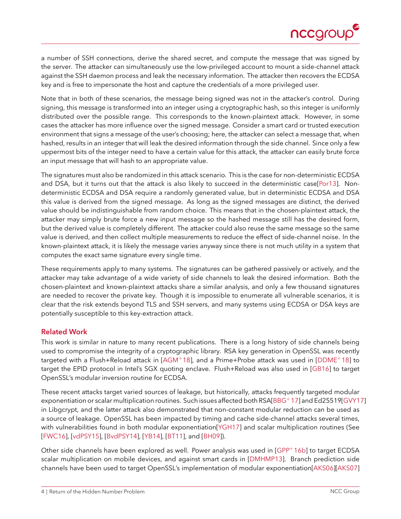

<span id="page-3-1"></span>a number of SSH connections, derive the shared secret, and compute the message that was signed by the server. The attacker can simultaneously use the low-privileged account to mount a side-channel attack against the SSH daemon process and leak the necessary information. The attacker then recovers the ECDSA key and is free to impersonate the host and capture the credentials of a more privileged user.

Note that in both of these scenarios, the message being signed was not in the attacker's control. During signing, this message is transformed into an integer using a cryptographic hash, so this integer is uniformly distributed over the possible range. This corresponds to the known-plaintext attack. However, in some cases the attacker has more influence over the signed message. Consider a smart card or trusted execution environment that signs a message of the user's choosing; here, the attacker can select a message that, when hashed, results in an integer that will leak the desired information through the side channel. Since only a few uppermost bits of the integer need to have a certain value for this attack, the attacker can easily brute force an input message that will hash to an appropriate value.

The signatures must also be randomized in this attack scenario. This is the case for non-deterministic ECDSA and DSA, but it turns out that the attack is also likely to succeed in the deterministic case[\[Por13\]](#page-27-4). Nondeterministic ECDSA and DSA require a randomly generated value, but in deterministic ECDSA and DSA this value is derived from the signed message. As long as the signed messages are distinct, the derived value should be indistinguishable from random choice. This means that in the chosen-plaintext attack, the attacker may simply brute force a new input message so the hashed message still has the desired form, but the derived value is completely different. The attacker could also reuse the same message so the same value is derived, and then collect multiple measurements to reduce the effect of side-channel noise. In the known-plaintext attack, it is likely the message varies anyway since there is not much utility in a system that computes the exact same signature every single time.

These requirements apply to many systems. The signatures can be gathered passively or actively, and the attacker may take advantage of a wide variety of side channels to leak the desired information. Both the chosen-plaintext and known-plaintext attacks share a similar analysis, and only a few thousand signatures are needed to recover the private key. Though it is impossible to enumerate all vulnerable scenarios, it is clear that the risk extends beyond TLS and SSH servers, and many systems using ECDSA or DSA keys are potentially susceptible to this key-extraction attack.

### <span id="page-3-0"></span>**Related Work**

This work is similar in nature to many recent publications. There is a long history of side channels being used to compromise the integrity of a cryptographic library. RSA key generation in OpenSSL was recently targeted with a Flush+Reload attack in [\[AGM](#page-24-1)+18], and a Prime+Probe attack was used in [\[DDME](#page-25-4)+18] to target the EPID protocol in Intel's SGX quoting enclave. Flush+Reload was also used in [\[GB16\]](#page-25-5) to target OpenSSL's modular inversion routine for ECDSA.

These recent attacks target varied sources of leakage, but historically, attacks frequently targeted modular exponentiation or scalar multiplication routines. Such issues affected both RSA[\[BBG](#page-24-2)+17] and Ed25519[\[GVY17\]](#page-26-3) in Libgcrypt, and the latter attack also demonstrated that non-constant modular reduction can be used as a source of leakage. OpenSSL has been impacted by timing and cache side-channel attacks several times, with vulnerabilities found in both modular exponentiation[\[YGH17\]](#page-28-1) and scalar multiplication routines (See [\[FWC16\]](#page-25-6), [\[vdPSY15\]](#page-28-2), [\[BvdPSY14\]](#page-24-3), [\[YB14\]](#page-28-3), [\[BT11\]](#page-24-4), and [\[BH09\]](#page-24-5)).

Other side channels have been explored as well. Power analysis was used in [\[GPP](#page-25-7)+16b] to target ECDSA scalar multiplication on mobile devices, and against smart cards in [\[DMHMP13\]](#page-25-8). Branch prediction side channels have been used to target OpenSSL's implementation of modular exponentiation[\[AKS06\]](#page-24-6)[\[AKS07\]](#page-24-0)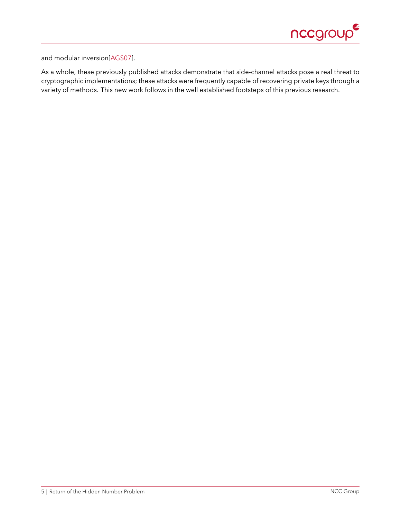

and modular inversion[\[AGS07\]](#page-24-7).

As a whole, these previously published attacks demonstrate that side-channel attacks pose a real threat to cryptographic implementations; these attacks were frequently capable of recovering private keys through a variety of methods. This new work follows in the well established footsteps of this previous research.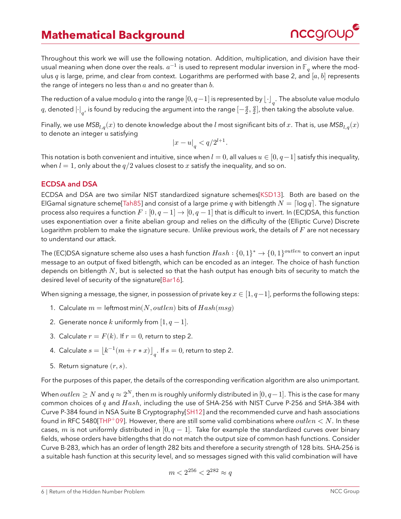### <span id="page-5-2"></span>**Mathematical Background**



<span id="page-5-0"></span>Throughout this work we will use the following notation. Addition, multiplication, and division have their usual meaning when done over the reals.  $a^{-1}$  is used to represent modular inversion in  $\mathbb{F}_q$  where the modulus q is large, prime, and clear from context. Logarithms are performed with base 2, and  $[a, b]$  represents the range of integers no less than  $a$  and no greater than  $b$ .

The reduction of a value modulo  $q$  into the range  $[0, q\!-\!1]$  is represented by  $\left\lfloor \cdot \right\rfloor_q$ . The absolute value modulo  $q$ , denoted  $\left\vert \cdot\right\vert _{q^{\prime}}$  is found by reducing the argument into the range  $\left[ -\frac{q}{2},\frac{q}{2}\right]$  $\frac{q}{2}]$ , then taking the absolute value.

Finally, we use  $MSB_{l,q}(x)$  to denote knowledge about the *l* most significant bits of x. That is, use  $MSB_{l,q}(x)$ to denote an integer  $u$  satisfying

$$
\left\vert x-u\right\vert _{q}
$$

This notation is both convenient and intuitive, since when  $l = 0$ , all values  $u \in [0, q-1]$  satisfy this inequality, when  $l = 1$ , only about the  $q/2$  values closest to x satisfy the inequality, and so on.

### <span id="page-5-1"></span>**ECDSA and DSA**

ECDSA and DSA are two similar NIST standardized signature schemes[\[KSD13\]](#page-26-4). Both are based on the ElGamal signature scheme [\[Tah85\]](#page-27-5) and consist of a large prime q with bitlength  $N = \lceil \log q \rceil$ . The signature process also requires a function  $F:[0, q-1] \to [0, q-1]$  that is difficult to invert. In (EC)DSA, this function uses exponentiation over a finite abelian group and relies on the difficulty of the (Elliptic Curve) Discrete Logarithm problem to make the signature secure. Unlike previous work, the details of  $F$  are not necessary to understand our attack.

The (EC)DSA signature scheme also uses a hash function  $Hash : \{0,1\}^* \rightarrow \{0,1\}^{outlen}$  to convert an input message to an output of fixed bitlength, which can be encoded as an integer. The choice of hash function depends on bitlength  $N$ , but is selected so that the hash output has enough bits of security to match the desired level of security of the signature[\[Bar16\]](#page-24-8).

When signing a message, the signer, in possession of private key  $x \in [1, q-1]$ , performs the following steps:

- 1. Calculate  $m = \text{leftmost min}(N, outlen)$  bits of  $Hash(msg)$
- 2. Generate nonce k uniformly from  $[1, q-1]$ .
- 3. Calculate  $r = F(k)$ . If  $r = 0$ , return to step 2.
- 4. Calculate  $s = \lfloor k^{-1}(m + r*x) \rfloor_q$ . If  $s = 0$ , return to step 2.
- 5. Return signature  $(r, s)$ .

For the purposes of this paper, the details of the corresponding verification algorithm are also unimportant.

When  $outlen \geq N$  and  $q \approx 2^N$ , then  $m$  is roughly uniformly distributed in  $[0, q-1]$ . This is the case for many common choices of  $q$  and  $Hash$ , including the use of SHA-256 with NIST Curve P-256 and SHA-384 with Curve P-384 found in NSA Suite B Cryptography[\[SH12\]](#page-27-6) and the recommended curve and hash associations found in RFC 5480[\[THP](#page-27-7)+09]. However, there are still some valid combinations where *outlen*  $\lt N$ . In these cases, m is not uniformly distributed in  $[0, q - 1]$ . Take for example the standardized curves over binary fields, whose orders have bitlengths that do not match the output size of common hash functions. Consider Curve B-283, which has an order of length 282 bits and therefore a security strength of 128 bits. SHA-256 is a suitable hash function at this security level, and so messages signed with this valid combination will have

$$
m < 2^{256} < 2^{282} \approx q
$$

#### 6 | Return of the Hidden Number Problem NCC Group NCC Group NCC Group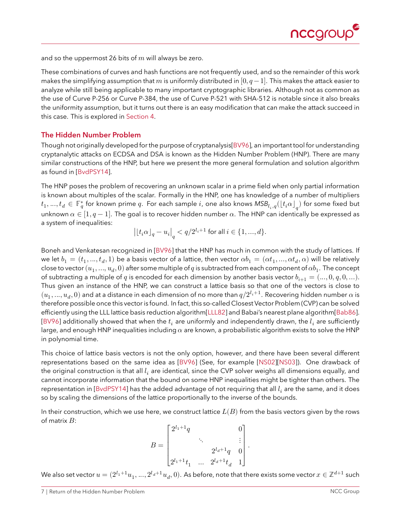

<span id="page-6-1"></span>and so the uppermost 26 bits of  $m$  will always be zero.

These combinations of curves and hash functions are not frequently used, and so the remainder of this work makes the simplifying assumption that m is uniformly distributed in [0,  $q-1$ ]. This makes the attack easier to analyze while still being applicable to many important cryptographic libraries. Although not as common as the use of Curve P-256 or Curve P-384, the use of Curve P-521 with SHA-512 is notable since it also breaks the uniformity assumption, but it turns out there is an easy modification that can make the attack succeed in this case. This is explored in [Section 4.](#page-12-0)

### <span id="page-6-0"></span>**The Hidden Number Problem**

Though not originally developed for the purpose of cryptanalysis[\[BV96\]](#page-24-9), an important tool for understanding cryptanalytic attacks on ECDSA and DSA is known as the Hidden Number Problem (HNP). There are many similar constructions of the HNP, but here we present the more general formulation and solution algorithm as found in [\[BvdPSY14\]](#page-24-3).

The HNP poses the problem of recovering an unknown scalar in a prime field when only partial information is known about multiples of the scalar. Formally in the HNP, one has knowledge of a number of multipliers  $t_1,...,t_d\,\in\,\mathbb{F}_q^*$  for known prime  $q.$  For each sample  $i$ , one also knows  $\mathsf{MSB}_{l_i,q}(\lfloor t_i\alpha\rfloor_q)$  for some fixed but unknown  $\alpha \in [1, q-1]$ . The goal is to recover hidden number  $\alpha$ . The HNP can identically be expressed as a system of inequalities:

$$
\big|\lfloor t_i\alpha\rfloor_q-u_i\big|_q< q/2^{l_i+1}\text{ for all }i\in\{1,...,d\}.
$$

Boneh and Venkatesan recognized in [\[BV96\]](#page-24-9) that the HNP has much in common with the study of lattices. If we let  $b_1=(t_1,...,t_d,1)$  be a basis vector of a lattice, then vector  $\alpha b_1=(\alpha t_1,...,\alpha t_d,\alpha)$  will be relatively close to vector  $(u_1,...,u_d,0)$  after some multiple of  $q$  is subtracted from each component of  $\alpha b_1.$  The concept of subtracting a multiple of q is encoded for each dimension by another basis vector  $b_{i+1} = (..., 0, q, 0, ...)$ . Thus given an instance of the HNP, we can construct a lattice basis so that one of the vectors is close to  $(u_1,...,u_d,0)$  and at a distance in each dimension of no more than  $q/2^{l_i+1}.$  Recovering hidden number  $\alpha$  is therefore possible once this vector is found. In fact, this so-called Closest Vector Problem (CVP) can be solved efficiently using the LLL lattice basis reduction algorithm[\[LLL82\]](#page-26-5) and Babai's nearest plane algorithm[\[Bab86\]](#page-24-10). [\[BV96\]](#page-24-9) additionally showed that when the  $t_i$  are uniformly and independently drawn, the  $l_i$  are sufficiently large, and enough HNP inequalities including  $\alpha$  are known, a probabilistic algorithm exists to solve the HNP in polynomial time.

This choice of lattice basis vectors is not the only option, however, and there have been several different representations based on the same idea as [\[BV96\]](#page-24-9) (See, for example [\[NS02\]](#page-27-8)[\[NS03\]](#page-27-9)). One drawback of the original construction is that all  $l_i$  are identical, since the CVP solver weighs all dimensions equally, and cannot incorporate information that the bound on some HNP inequalities might be tighter than others. The representation in [\[BvdPSY14\]](#page-24-3) has the added advantage of not requiring that all  $l_i$  are the same, and it does so by scaling the dimensions of the lattice proportionally to the inverse of the bounds.

In their construction, which we use here, we construct lattice  $L(B)$  from the basis vectors given by the rows of matrix  $B$ :

$$
B=\begin{bmatrix}2^{l_1+1}q & & & 0 \\ & \ddots & & \vdots \\ & & 2^{l_d+1}q & 0 \\ 2^{l_1+1}t_1 & \ldots & 2^{l_d+1}t_d & 1\end{bmatrix}.
$$

We also set vector  $u=(2^{l_1+1}u_1,...,2^{l_d+1}u_d,0).$  As before, note that there exists some vector  $x\in\mathbb{Z}^{d+1}$  such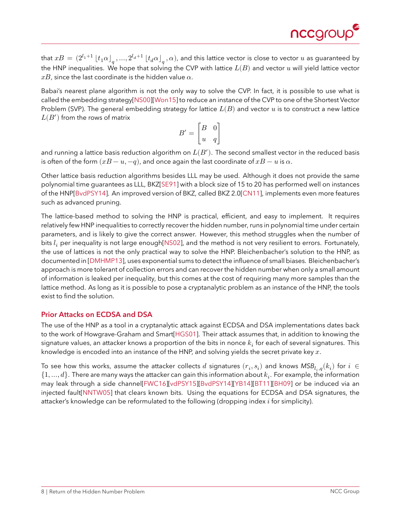

<span id="page-7-1"></span>that  $xB=(2^{l_1+1}\lfloor t_1\alpha\rfloor_q,...,2^{l_d+1}\lfloor t_d\alpha\rfloor_q,\alpha)$ , and this lattice vector is close to vector  $u$  as guaranteed by the HNP inequalities. We hope that solving the CVP with lattice  $L(B)$  and vector  $u$  will yield lattice vector  $xB$ , since the last coordinate is the hidden value  $\alpha$ .

Babai's nearest plane algorithm is not the only way to solve the CVP. In fact, it is possible to use what is called the embedding strategy[\[NS00\]](#page-27-10)[\[Won15\]](#page-28-4) to reduce an instance of the CVP to one of the Shortest Vector Problem (SVP). The general embedding strategy for lattice  $L(B)$  and vector u is to construct a new lattice  $L(B')$  from the rows of matrix

$$
B' = \begin{bmatrix} B & 0 \\ u & q \end{bmatrix}
$$

and running a lattice basis reduction algorithm on  $L(B^\prime).$  The second smallest vector in the reduced basis is often of the form  $(xB - u, -q)$ , and once again the last coordinate of  $xB - u$  is  $\alpha$ .

Other lattice basis reduction algorithms besides LLL may be used. Although it does not provide the same polynomial time guarantees as LLL, BKZ[\[SE91\]](#page-27-11) with a block size of 15 to 20 has performed well on instances of the HNP[\[BvdPSY14\]](#page-24-3). An improved version of BKZ, called BKZ 2.0[\[CN11\]](#page-24-11), implements even more features such as advanced pruning.

The lattice-based method to solving the HNP is practical, efficient, and easy to implement. It requires relatively few HNP inequalities to correctly recover the hidden number, runs in polynomial time under certain parameters, and is likely to give the correct answer. However, this method struggles when the number of bits  $l_i$  per inequality is not large enough[\[NS02\]](#page-27-8), and the method is not very resilient to errors. Fortunately, the use of lattices is not the only practical way to solve the HNP. Bleichenbacher's solution to the HNP, as documented in [\[DMHMP13\]](#page-25-8), uses exponential sums to detect the influence of small biases. Bleichenbacher's approach is more tolerant of collection errors and can recover the hidden number when only a small amount of information is leaked per inequality, but this comes at the cost of requiring many more samples than the lattice method. As long as it is possible to pose a cryptanalytic problem as an instance of the HNP, the tools exist to find the solution.

### <span id="page-7-0"></span>**Prior Attacks on ECDSA and DSA**

The use of the HNP as a tool in a cryptanalytic attack against ECDSA and DSA implementations dates back to the work of Howgrave-Graham and Smart[\[HGS01\]](#page-26-6). Their attack assumes that, in addition to knowing the signature values, an attacker knows a proportion of the bits in nonce  $k_i$  for each of several signatures. This knowledge is encoded into an instance of the HNP, and solving yields the secret private key  $x$ .

To see how this works, assume the attacker collects  $d$  signatures  $(r_i, s_i)$  and knows  $\mathsf{MSB}_{l_i, q}(k_i)$  for  $i \in \mathbb{N}$  $\{1, ..., d\}.$  There are many ways the attacker can gain this information about  $k_i.$  For example, the information may leak through a side channel[\[FWC16\]](#page-25-6)[\[vdPSY15\]](#page-28-2)[\[BvdPSY14\]](#page-24-3)[\[YB14\]](#page-28-3)[\[BT11\]](#page-24-4)[\[BH09\]](#page-24-5) or be induced via an injected fault[\[NNTW05\]](#page-26-7) that clears known bits. Using the equations for ECDSA and DSA signatures, the attacker's knowledge can be reformulated to the following (dropping index  $i$  for simplicity).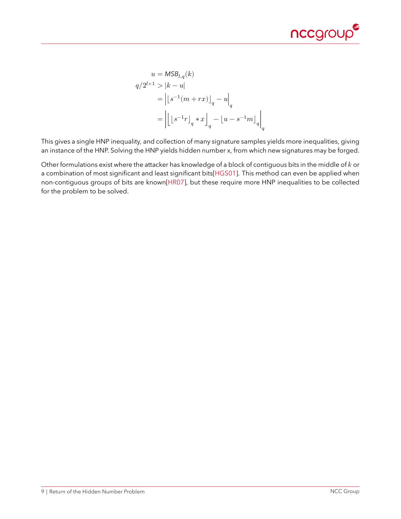

<span id="page-8-0"></span>
$$
\begin{aligned} u &= \text{MSB}_{l,q}(k) \\ q/2^{l+1} &> |k-u| \\ &= \left| \left\lfloor s^{-1} (m+rx) \right\rfloor_q - u \right|_q \\ &= \left| \left\lfloor \left\lfloor s^{-1} r \right\rfloor_q * x \right\rfloor_q - \left\lfloor u - s^{-1} m \right\rfloor_q \right|_q \end{aligned}
$$

This gives a single HNP inequality, and collection of many signature samples yields more inequalities, giving an instance of the HNP. Solving the HNP yields hidden number x, from which new signatures may be forged.

Other formulations exist where the attacker has knowledge of a block of contiguous bits in the middle of  $k$  or a combination of most significant and least significant bits[\[HGS01\]](#page-26-6). This method can even be applied when non-contiguous groups of bits are known[\[HR07\]](#page-26-8), but these require more HNP inequalities to be collected for the problem to be solved.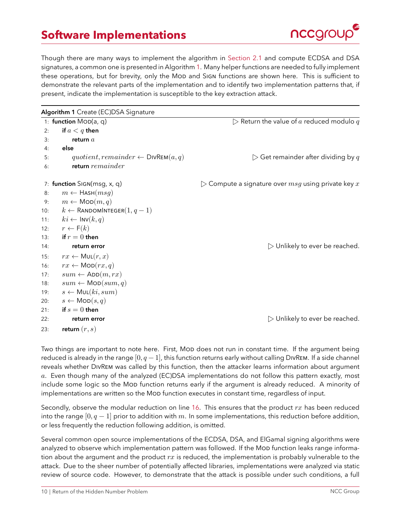### **Software Implementations**



<span id="page-9-0"></span>Though there are many ways to implement the algorithm in [Section 2.1](#page-5-1) and compute ECDSA and DSA signatures, a common one is presented in Algorithm [1.](#page-9-1) Many helper functions are needed to fully implement these operations, but for brevity, only the MOD and SIGN functions are shown here. This is sufficient to demonstrate the relevant parts of the implementation and to identify two implementation patterns that, if present, indicate the implementation is susceptible to the key extraction attack.

<span id="page-9-1"></span>

|                       | Algorithm 1 Create (EC)DSA Signature            |                                                                       |  |
|-----------------------|-------------------------------------------------|-----------------------------------------------------------------------|--|
| 1: function MoD(a, q) |                                                 | $\triangleright$ Return the value of a reduced modulo q               |  |
| 2:                    | if $a < q$ then                                 |                                                                       |  |
| 3:                    | return $a$                                      |                                                                       |  |
| 4:                    | else                                            |                                                                       |  |
| 5:                    | quotient, remainder $\leftarrow$ DIVREM $(a,q)$ | $\triangleright$ Get remainder after dividing by $q$                  |  |
| 6:                    | return remainder                                |                                                                       |  |
|                       | 7: function SIGN(msg, x, q)                     | $\triangleright$ Compute a signature over $msg$ using private key $x$ |  |
| 8:                    | $m \leftarrow$ Hash $(msg)$                     |                                                                       |  |
| 9:                    | $m \leftarrow \text{MOD}(m, q)$                 |                                                                       |  |
| 10:                   | $k \leftarrow$ Random Integer $(1, q - 1)$      |                                                                       |  |
| 11:                   | $ki \leftarrow \text{INV}(k, q)$                |                                                                       |  |
| 12:                   | $r \leftarrow F(k)$                             |                                                                       |  |
| 13:                   | if $r=0$ then                                   |                                                                       |  |
| 14:                   | return error                                    | $\triangleright$ Unlikely to ever be reached.                         |  |
| 15:                   | $rx \leftarrow \textsf{MUL}(r, x)$              |                                                                       |  |
| 16:                   | $rx \leftarrow \text{MOD}(rx, q)$               |                                                                       |  |
| 17:                   | $sum \leftarrow ADD(m, rx)$                     |                                                                       |  |
| 18:                   | $sum \leftarrow \text{MOD}(sum, q)$             |                                                                       |  |
| 19:                   | $s \leftarrow \textsf{MUL}(ki, sum)$            |                                                                       |  |
| 20:                   | $s \leftarrow \text{MOD}(s,q)$                  |                                                                       |  |
| 21:                   | if $s=0$ then                                   |                                                                       |  |
| 22:                   | return error                                    | $\triangleright$ Unlikely to ever be reached.                         |  |
| 23:                   | return $(r, s)$                                 |                                                                       |  |

Two things are important to note here. First, Mod does not run in constant time. If the argument being reduced is already in the range  $[0, q - 1]$ , this function returns early without calling DIVREM. If a side channel reveals whether DivRem was called by this function, then the attacker learns information about argument a. Even though many of the analyzed (EC)DSA implementations do not follow this pattern exactly, most include some logic so the Mob function returns early if the argument is already reduced. A minority of implementations are written so the MOD function executes in constant time, regardless of input.

Secondly, observe the modular reduction on line [16.](#page-9-1) This ensures that the product  $rx$  has been reduced into the range  $[0, q - 1]$  prior to addition with m. In some implementations, this reduction before addition, or less frequently the reduction following addition, is omitted.

Several common open source implementations of the ECDSA, DSA, and ElGamal signing algorithms were analyzed to observe which implementation pattern was followed. If the Mop function leaks range information about the argument and the product  $rx$  is reduced, the implementation is probably vulnerable to the attack. Due to the sheer number of potentially affected libraries, implementations were analyzed via static review of source code. However, to demonstrate that the attack is possible under such conditions, a full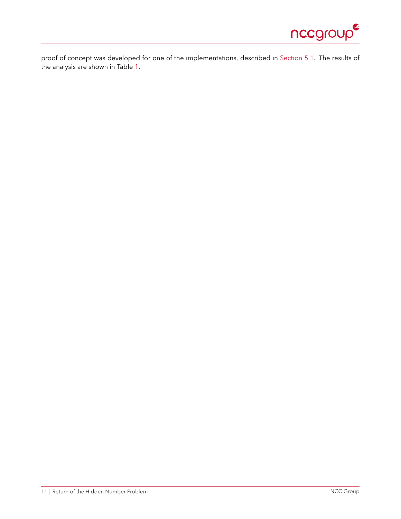

proof of concept was developed for one of the implementations, described in [Section 5.1.](#page-16-1) The results of the analysis are shown in Table [1.](#page-11-0)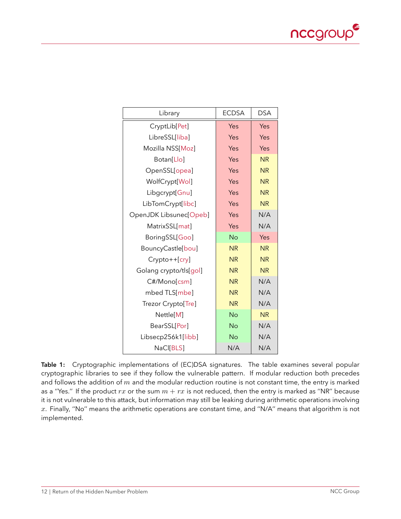

<span id="page-11-1"></span><span id="page-11-0"></span>

| Library                | <b>ECDSA</b> | <b>DSA</b> |
|------------------------|--------------|------------|
| CryptLib[Pet]          | Yes          | Yes        |
| LibreSSL[liba]         | Yes          | Yes        |
| Mozilla NSS[Moz]       | Yes          | Yes        |
| Botan[Llo]             | Yes          | <b>NR</b>  |
| OpenSSL[opea]          | Yes          | <b>NR</b>  |
| WolfCrypt[Wol]         | Yes          | <b>NR</b>  |
| Libgcrypt[Gnu]         | Yes          | <b>NR</b>  |
| LibTomCrypt[libc]      | Yes          | <b>NR</b>  |
| OpenJDK Libsunec[Opeb] | Yes          | N/A        |
| MatrixSSL[mat]         | Yes          | N/A        |
| BoringSSL[Goo]         | <b>No</b>    | Yes        |
| BouncyCastle[bou]      | <b>NR</b>    | <b>NR</b>  |
| Crypto++[cry]          | <b>NR</b>    | <b>NR</b>  |
| Golang crypto/tls[gol] | <b>NR</b>    | <b>NR</b>  |
| C#/Mono[csm]           | <b>NR</b>    | N/A        |
| mbed TLS[mbe]          | <b>NR</b>    | N/A        |
| Trezor Crypto[Tre]     | <b>NR</b>    | N/A        |
| Nettle[M]              | <b>No</b>    | <b>NR</b>  |
| BearSSL[Por]           | <b>No</b>    | N/A        |
| Libsecp256k1[libb]     | <b>No</b>    | N/A        |
| NaCl[BLS]              | N/A          | N/A        |

**Table 1:** Cryptographic implementations of (EC)DSA signatures. The table examines several popular cryptographic libraries to see if they follow the vulnerable pattern. If modular reduction both precedes and follows the addition of  $m$  and the modular reduction routine is not constant time, the entry is marked as a "Yes." If the product  $rx$  or the sum  $m + rx$  is not reduced, then the entry is marked as "NR" because it is not vulnerable to this attack, but information may still be leaking during arithmetic operations involving  $x$ . Finally, "No" means the arithmetic operations are constant time, and "N/A" means that algorithm is not implemented.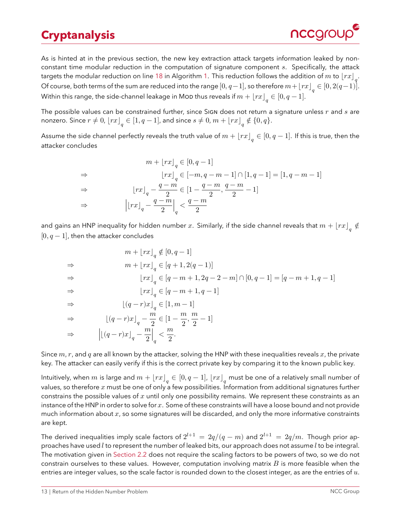# **Cryptanalysis**

<span id="page-12-0"></span>As is hinted at in the previous section, the new key extraction attack targets information leaked by nonconstant time modular reduction in the computation of signature component  $s$ . Specifically, the attack targets the modular reduction on line [18](#page-9-1) in Algorithm [1.](#page-9-1) This reduction follows the addition of  $m$  to  $\lfloor rx\rfloor_q$ . Of course, both terms of the sum are reduced into the range  $[0, q-1]$ , so therefore  $m+\lfloor rx\rfloor_q\in [0, 2(q-1)].$ Within this range, the side-channel leakage in Mop thus reveals if  $m + \lfloor rx\rfloor_q \in [0,q-1].$ 

The possible values can be constrained further, since SIGN does not return a signature unless  $r$  and  $s$  are nonzero. Since  $r\neq 0$ ,  $\lfloor rx\rfloor_q\in [1,q-1]$ , and since  $s\neq 0$ ,  $m+\lfloor rx\rfloor_q\notin\{0,q\}.$ 

Assume the side channel perfectly reveals the truth value of  $m+\lfloor rx\rfloor_q\in[0,q-1].$  If this is true, then the attacker concludes

$$
m + \lfloor rx \rfloor_q \in [0, q - 1]
$$
\n
$$
\Rightarrow \qquad \lfloor rx \rfloor_q \in [-m, q - m - 1] \cap [1, q - 1] = [1, q - m - 1]
$$
\n
$$
\Rightarrow \qquad \lfloor rx \rfloor_q - \frac{q - m}{2} \in [1 - \frac{q - m}{2}, \frac{q - m}{2} - 1]
$$
\n
$$
\Rightarrow \qquad \left| \lfloor rx \rfloor_q - \frac{q - m}{2} \right|_q < \frac{q - m}{2}
$$

and gains an HNP inequality for hidden number  $x.$  Similarly, if the side channel reveals that  $m+\lfloor rx\rfloor\frac{\epsilon}{q}$  $[0, q - 1]$ , then the attacker concludes

$$
m + [rx]_q \notin [0, q - 1]
$$
  
\n⇒ 
$$
m + [rx]_q \in [q + 1, 2(q - 1)]
$$
  
\n⇒ 
$$
[rx]_q \in [q - m + 1, 2q - 2 - m] \cap [0, q - 1] = [q - m + 1, q - 1]
$$
  
\n⇒ 
$$
[rx]_q \in [q - m + 1, q - 1]
$$
  
\n⇒ 
$$
[(q - r)x]_q \in [1, m - 1]
$$
  
\n⇒ 
$$
[(q - r)x]_q - \frac{m}{2} \in [1 - \frac{m}{2}, \frac{m}{2} - 1]
$$
  
\n⇒ 
$$
[(q - r)x]_q - \frac{m}{2} \Big|_q < \frac{m}{2}.
$$

Since  $m, r$ , and q are all known by the attacker, solving the HNP with these inequalities reveals  $x$ , the private key. The attacker can easily verify if this is the correct private key by comparing it to the known public key.

Intuitively, when  $m$  is large and  $m+\lfloor rx\rfloor_q\in[0,q-1]$ ,  $\lfloor rx\rfloor_q$  must be one of a relatively small number of values, so therefore  $x$  must be one of only a few possibilities. Information from additional signatures further constrains the possible values of  $x$  until only one possibility remains. We represent these constraints as an instance of the HNP in order to solve for x. Some of these constraints will have a loose bound and not provide much information about  $x$ , so some signatures will be discarded, and only the more informative constraints are kept.

The derived inequalities imply scale factors of  $2^{l+1} \,=\, 2q/(q-m)$  and  $2^{l+1} \,=\, 2q/m.$  Though prior approaches have used  $l$  to represent the number of leaked bits, our approach does not assume  $l$  to be integral. The motivation given in [Section 2.2](#page-6-0) does not require the scaling factors to be powers of two, so we do not constrain ourselves to these values. However, computation involving matrix  $B$  is more feasible when the entries are integer values, so the scale factor is rounded down to the closest integer, as are the entries of  $u$ .

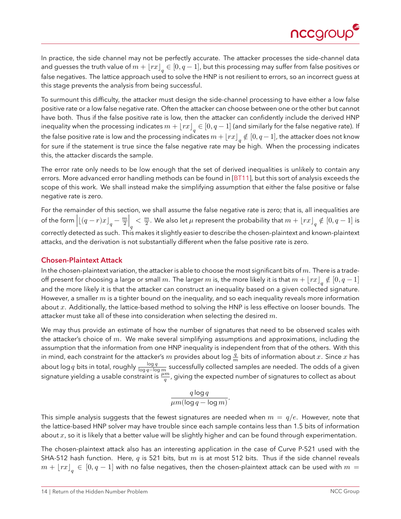

<span id="page-13-1"></span>In practice, the side channel may not be perfectly accurate. The attacker processes the side-channel data and guesses the truth value of  $m+\lfloor rx\rfloor_q\in[0,q-1]$ , but this processing may suffer from false positives or false negatives. The lattice approach used to solve the HNP is not resilient to errors, so an incorrect guess at this stage prevents the analysis from being successful.

To surmount this difficulty, the attacker must design the side-channel processing to have either a low false positive rate or a low false negative rate. Often the attacker can choose between one or the other but cannot have both. Thus if the false positive rate is low, then the attacker can confidently include the derived HNP inequality when the processing indicates  $m+\lfloor rx\rfloor_q\in[0,q-1]$  (and similarly for the false negative rate). If the false positive rate is low and the processing indicates  $m+\lfloor rx\rfloor_q\notin[0,q-1]$ , the attacker does not know for sure if the statement is true since the false negative rate may be high. When the processing indicates this, the attacker discards the sample.

The error rate only needs to be low enough that the set of derived inequalities is unlikely to contain any errors. More advanced error handling methods can be found in [\[BT11\]](#page-24-4), but this sort of analysis exceeds the scope of this work. We shall instead make the simplifying assumption that either the false positive or false negative rate is zero.

For the remainder of this section, we shall assume the false negative rate is zero; that is, all inequalities are of the form  $\left\lfloor \left( q-r\right) x\right\rfloor_q-\frac{m}{2}$  $\frac{m}{2}$ |  $\overline{q}$  $\langle \frac{m}{2}$  $\frac{m}{2}.$  We also let  $\mu$  represent the probability that  $m+\left\lfloor rx\right\rfloor_q\notin\left[0,q-1\right]$  is correctly detected as such. This makes it slightly easier to describe the chosen-plaintext and known-plaintext attacks, and the derivation is not substantially different when the false positive rate is zero.

#### <span id="page-13-0"></span>**Chosen-Plaintext Attack**

In the chosen-plaintext variation, the attacker is able to choose the most significant bits of  $m$ . There is a tradeoff present for choosing a large or small  $m.$  The larger  $m$  is, the more likely it is that  $m+\lfloor rx\rfloor_q\notin [0,q-1]$ and the more likely it is that the attacker can construct an inequality based on a given collected signature. However, a smaller  $m$  is a tighter bound on the inequality, and so each inequality reveals more information about  $x$ . Additionally, the lattice-based method to solving the HNP is less effective on looser bounds. The attacker must take all of these into consideration when selecting the desired  $m$ .

We may thus provide an estimate of how the number of signatures that need to be observed scales with the attacker's choice of  $m$ . We make several simplifying assumptions and approximations, including the assumption that the information from one HNP inequality is independent from that of the others. With this in mind, each constraint for the attacker's  $m$  provides about log  $\frac{q}{m}$  bits of information about  $x.$  Since  $x$  has about log  $q$  bits in total, roughly  $\frac{\log q}{\log q-\log m}$  successfully collected samples are needed. The odds of a given signature yielding a usable constraint is  $\frac{\mu m}{q}$ , giving the expected number of signatures to collect as about

$$
\frac{q\log q}{\mu m(\log q - \log m)}.
$$

This simple analysis suggests that the fewest signatures are needed when  $m = q/e$ . However, note that the lattice-based HNP solver may have trouble since each sample contains less than 1.5 bits of information about  $x$ , so it is likely that a better value will be slightly higher and can be found through experimentation.

The chosen-plaintext attack also has an interesting application in the case of Curve P-521 used with the SHA-512 hash function. Here, q is 521 bits, but  $m$  is at most 512 bits. Thus if the side channel reveals  $m + \lfloor rx\rfloor_q \, \in \, [0,q-1]$  with no false negatives, then the chosen-plaintext attack can be used with  $m = 1$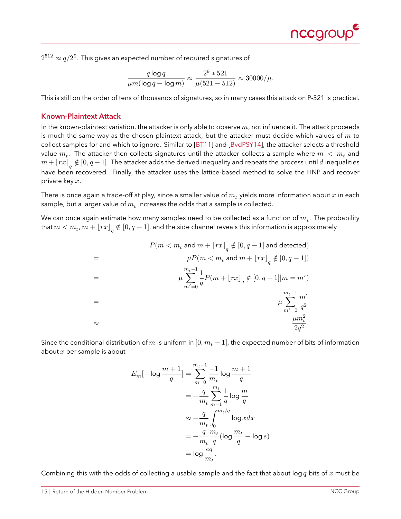

<span id="page-14-1"></span> $2^{512} \approx q/2^9.$  This gives an expected number of required signatures of

$$
\frac{q\log q}{\mu m (\log q - \log m)} \approx \frac{2^9 * 521}{\mu (521 - 512)} \approx 30000/\mu.
$$

This is still on the order of tens of thousands of signatures, so in many cases this attack on P-521 is practical.

#### <span id="page-14-0"></span>**Known-Plaintext Attack**

In the known-plaintext variation, the attacker is only able to observe  $m$ , not influence it. The attack proceeds is much the same way as the chosen-plaintext attack, but the attacker must decide which values of  $m$  to collect samples for and which to ignore. Similar to [\[BT11\]](#page-24-4) and [\[BvdPSY14\]](#page-24-3), the attacker selects a threshold value  $m_t.$  The attacker then collects signatures until the attacker collects a sample where  $m\,<\,m_t$  and  $m+\lfloor rx\rfloor_q\notin[0,q-1].$  The attacker adds the derived inequality and repeats the process until  $d$  inequalities have been recovered. Finally, the attacker uses the lattice-based method to solve the HNP and recover private key  $x$ .

There is once again a trade-off at play, since a smaller value of  $m_t$  yields more information about  $x$  in each sample, but a larger value of  $m_t$  increases the odds that a sample is collected.

We can once again estimate how many samples need to be collected as a function of  $m_t.$  The probability that  $m < m_t$ ,  $m + \lfloor rx\rfloor_q \notin [0,q-1]$ , and the side channel reveals this information is approximately

$$
P(m < m_t \text{ and } m + \lfloor rx \rfloor_q \notin [0, q-1] \text{ and detected})
$$
\n
$$
= \mu P(m < m_t \text{ and } m + \lfloor rx \rfloor_q \notin [0, q-1])
$$
\n
$$
= \mu \sum_{m'=0}^{m_t-1} \frac{1}{q} P(m + \lfloor rx \rfloor_q \notin [0, q-1] | m = m')
$$
\n
$$
= \mu \sum_{m'=0}^{m_t-1} \frac{m'}{q^2}
$$
\n
$$
\approx \frac{\mu m_t^2}{2q^2}.
$$

Since the conditional distribution of m is uniform in  $[0, m_t - 1]$ , the expected number of bits of information about  $x$  per sample is about

$$
E_m[-\log\frac{m+1}{q}] = \sum_{m=0}^{m_t-1} \frac{-1}{m_t} \log\frac{m+1}{q}
$$
  

$$
= -\frac{q}{m_t} \sum_{m=1}^{m_t} \frac{1}{q} \log\frac{m}{q}
$$
  

$$
\approx -\frac{q}{m_t} \int_0^{m_t/q} \log x dx
$$
  

$$
= -\frac{q}{m_t} \frac{m_t}{q} (\log\frac{m_t}{q} - \log e)
$$
  

$$
= \log\frac{eq}{m_t}.
$$

Combining this with the odds of collecting a usable sample and the fact that about log q bits of x must be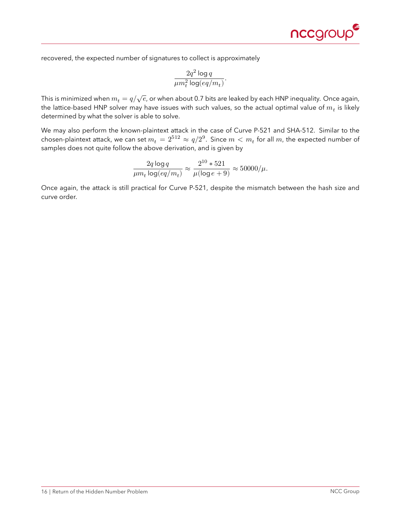

recovered, the expected number of signatures to collect is approximately

$$
\frac{2q^2\log q}{\mu m_t^2\log (eq/m_t)}.
$$

This is minimized when  $m_t = q/\sqrt{e}$ , or when about 0.7 bits are leaked by each HNP inequality. Once again, the lattice-based HNP solver may have issues with such values, so the actual optimal value of  $m^{\phantom{\dagger}}_t$  is likely determined by what the solver is able to solve.

We may also perform the known-plaintext attack in the case of Curve P-521 and SHA-512. Similar to the chosen-plaintext attack, we can set  $m_t = 2^{512} \approx q/2^9.$  Since  $m < m_t$  for all  $m$ , the expected number of samples does not quite follow the above derivation, and is given by

$$
\frac{2q\log q}{\mu m_t\log (eq/m_t)}\approx \frac{2^{10}*521}{\mu(\log e+9)}\approx 50000/\mu.
$$

Once again, the attack is still practical for Curve P-521, despite the mismatch between the hash size and curve order.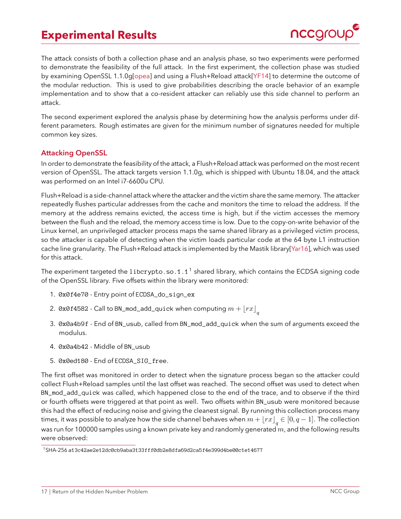### <span id="page-16-3"></span>**Experimental Results**



<span id="page-16-0"></span>The attack consists of both a collection phase and an analysis phase, so two experiments were performed to demonstrate the feasibility of the full attack. In the first experiment, the collection phase was studied by examining OpenSSL 1.1.0g[\[opea\]](#page-27-13) and using a Flush+Reload attack[\[YF14\]](#page-28-7) to determine the outcome of the modular reduction. This is used to give probabilities describing the oracle behavior of an example implementation and to show that a co-resident attacker can reliably use this side channel to perform an attack.

The second experiment explored the analysis phase by determining how the analysis performs under different parameters. Rough estimates are given for the minimum number of signatures needed for multiple common key sizes.

### <span id="page-16-1"></span>**Attacking OpenSSL**

In order to demonstrate the feasibility of the attack, a Flush+Reload attack was performed on the most recent version of OpenSSL. The attack targets version 1.1.0g, which is shipped with Ubuntu 18.04, and the attack was performed on an Intel i7-6600u CPU.

Flush+Reload is a side-channel attack where the attacker and the victim share the same memory. The attacker repeatedly flushes particular addresses from the cache and monitors the time to reload the address. If the memory at the address remains evicted, the access time is high, but if the victim accesses the memory between the flush and the reload, the memory access time is low. Due to the copy-on-write behavior of the Linux kernel, an unprivileged attacker process maps the same shared library as a privileged victim process, so the attacker is capable of detecting when the victim loads particular code at the 64 byte L1 instruction cache line granularity. The Flush+Reload attack is implemented by the Mastik library[\[Yar16\]](#page-28-8), which was used for this attack.

The experiment targeted the [1](#page-16-2) i bcrypto.so.1.1<sup>1</sup> shared library, which contains the ECDSA signing code of the OpenSSL library. Five offsets within the library were monitored:

- 1. 0x0f4e70 Entry point of ECDSA\_do\_sign\_ex
- 2. 0x0f4582 Call to BN\_mod\_add\_quick when computing  $m + \lfloor rx\rfloor \frac{1}{q}$
- 3. 0x0a4b9f End of BN\_usub, called from BN\_mod\_add\_quick when the sum of arguments exceed the modulus.
- 4. 0x0a4b42 Middle of BN\_usub
- 5. 0x0ed180 End of ECDSA\_SIG\_free.

The first offset was monitored in order to detect when the signature process began so the attacker could collect Flush+Reload samples until the last offset was reached. The second offset was used to detect when BN\_mod\_add\_quick was called, which happened close to the end of the trace, and to observe if the third or fourth offsets were triggered at that point as well. Two offsets within BN\_usub were monitored because this had the effect of reducing noise and giving the cleanest signal. By running this collection process many times, it was possible to analyze how the side channel behaves when  $m+\lfloor rx\rfloor_q\in[0,q-1].$  The collection was run for 100000 samples using a known private key and randomly generated  $m$ , and the following results were observed:

<span id="page-16-2"></span><sup>1</sup>SHA-256 a13c42ae2e12dc0cb9aba3133fff0db2e8dfa69d2ca5f4e399d4be00c1e14677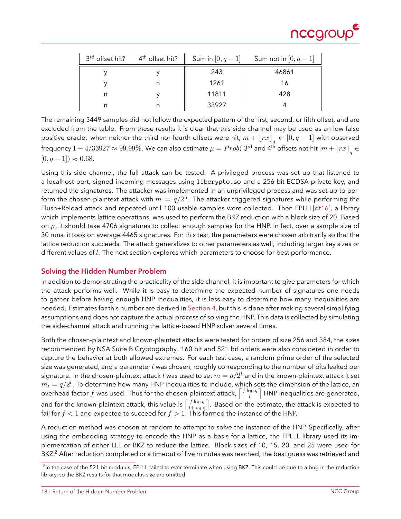

<span id="page-17-2"></span>

| 3 <sup>rd</sup> offset hit? | 4 <sup>th</sup> offset hit? | Sum in $[0, q - 1]$ | Sum not in $[0, q-1]$ |
|-----------------------------|-----------------------------|---------------------|-----------------------|
|                             |                             | 243                 | 46861                 |
|                             |                             | 1261                | 16                    |
| n                           |                             | 11811               | 428                   |
|                             |                             | 33927               |                       |

The remaining 5449 samples did not follow the expected pattern of the first, second, or fifth offset, and are excluded from the table. From these results it is clear that this side channel may be used as an low false positive oracle: when neither the third nor fourth offsets were hit,  $m + \lfloor rx\rfloor_q \in [0,q-1]$  with observed frequency  $1-4/33927\approx 99.99\%$ . We can also estimate  $\mu=Prob($  3<sup>rd</sup> and 4<sup>th</sup> offsets not hit  $\left|m+\lfloor rx\rfloor\right|_q\in$  $[0, q - 1] \approx 0.68$ .

Using this side channel, the full attack can be tested. A privileged process was set up that listened to a localhost port, signed incoming messages using libcrypto.so and a 256-bit ECDSA private key, and returned the signatures. The attacker was implemented in an unprivileged process and was set up to perform the chosen-plaintext attack with  $m\,=\,q/2^5.$  The attacker triggered signatures while performing the Flush+Reload attack and repeated until 100 usable samples were collected. Then FPLLL[\[dt16\]](#page-25-14), a library which implements lattice operations, was used to perform the BKZ reduction with a block size of 20. Based on  $\mu$ , it should take 4706 signatures to collect enough samples for the HNP. In fact, over a sample size of 30 runs, it took on average 4465 signatures. For this test, the parameters were chosen arbitrarily so that the lattice reduction succeeds. The attack generalizes to other parameters as well, including larger key sizes or different values of  $l$ . The next section explores which parameters to choose for best performance.

### <span id="page-17-0"></span>**Solving the Hidden Number Problem**

In addition to demonstrating the practicality of the side channel, it is important to give parameters for which the attack performs well. While it is easy to determine the expected number of signatures one needs to gather before having enough HNP inequalities, it is less easy to determine how many inequalities are needed. Estimates for this number are derived in [Section 4,](#page-12-0) but this is done after making several simplifying assumptions and does not capture the actual process of solving the HNP. This data is collected by simulating the side-channel attack and running the lattice-based HNP solver several times.

Both the chosen-plaintext and known-plaintext attacks were tested for orders of size 256 and 384, the sizes recommended by NSA Suite B Cryptography. 160 bit and 521 bit orders were also considered in order to capture the behavior at both allowed extremes. For each test case, a random prime order of the selected size was generated, and a parameter  $l$  was chosen, roughly corresponding to the number of bits leaked per signature. In the chosen-plaintext attack *l* was used to set  $m = q/2^l$  and in the known-plaintext attack it set  $m_t = q/2^l$ . To determine how many HNP inequalities to include, which sets the dimension of the lattice, an overhead factor f was used. Thus for the chosen-plaintext attack,  $\int \frac{f \log q}{l}$  $\frac{\log q}{l}$  | HNP inequalities are generated, and for the known-plaintext attack, this value is  $\int \frac{f \log q}{1 + \log q}$  $\frac{J\log q}{l+\log e}\big\vert$ . Based on the estimate, the attack is expected to fail for  $f < 1$  and expected to succeed for  $f > 1$ . This formed the instance of the HNP.

A reduction method was chosen at random to attempt to solve the instance of the HNP. Specifically, after using the embedding strategy to encode the HNP as a basis for a lattice, the FPLLL library used its implementation of either LLL or BKZ to reduce the lattice. Block sizes of 10, 15, 20, and 25 were used for BKZ.<sup>[2](#page-17-1)</sup> After reduction completed or a timeout of five minutes was reached, the best guess was retrieved and

<span id="page-17-1"></span><sup>&</sup>lt;sup>2</sup>In the case of the 521 bit modulus, FPLLL failed to ever terminate when using BKZ. This could be due to a bug in the reduction library, so the BKZ results for that modulus size are omitted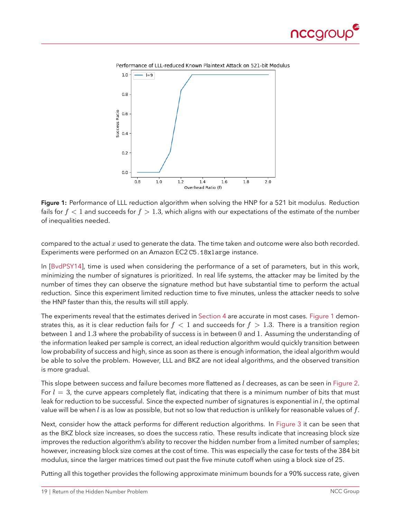

<span id="page-18-1"></span><span id="page-18-0"></span>



**Figure 1:** Performance of LLL reduction algorithm when solving the HNP for a 521 bit modulus. Reduction fails for  $f < 1$  and succeeds for  $f > 1.3$ , which aligns with our expectations of the estimate of the number of inequalities needed.

compared to the actual  $x$  used to generate the data. The time taken and outcome were also both recorded. Experiments were performed on an Amazon EC2 C5.18xlarge instance.

In [\[BvdPSY14\]](#page-24-3), time is used when considering the performance of a set of parameters, but in this work, minimizing the number of signatures is prioritized. In real life systems, the attacker may be limited by the number of times they can observe the signature method but have substantial time to perform the actual reduction. Since this experiment limited reduction time to five minutes, unless the attacker needs to solve the HNP faster than this, the results will still apply.

The experiments reveal that the estimates derived in [Section 4](#page-12-0) are accurate in most cases. [Figure 1](#page-18-0) demonstrates this, as it is clear reduction fails for  $f < 1$  and succeeds for  $f > 1.3$ . There is a transition region between 1 and 1.3 where the probability of success is in between 0 and 1. Assuming the understanding of the information leaked per sample is correct, an ideal reduction algorithm would quickly transition between low probability of success and high, since as soon as there is enough information, the ideal algorithm would be able to solve the problem. However, LLL and BKZ are not ideal algorithms, and the observed transition is more gradual.

This slope between success and failure becomes more flattened as  $l$  decreases, as can be seen in [Figure 2.](#page-19-0) For  $l = 3$ , the curve appears completely flat, indicating that there is a minimum number of bits that must leak for reduction to be successful. Since the expected number of signatures is exponential in  $l$ , the optimal value will be when *l* is as low as possible, but not so low that reduction is unlikely for reasonable values of  $f$ .

Next, consider how the attack performs for different reduction algorithms. In [Figure 3](#page-19-1) it can be seen that as the BKZ block size increases, so does the success ratio. These results indicate that increasing block size improves the reduction algorithm's ability to recover the hidden number from a limited number of samples; however, increasing block size comes at the cost of time. This was especially the case for tests of the 384 bit modulus, since the larger matrices timed out past the five minute cutoff when using a block size of 25.

Putting all this together provides the following approximate minimum bounds for a 90% success rate, given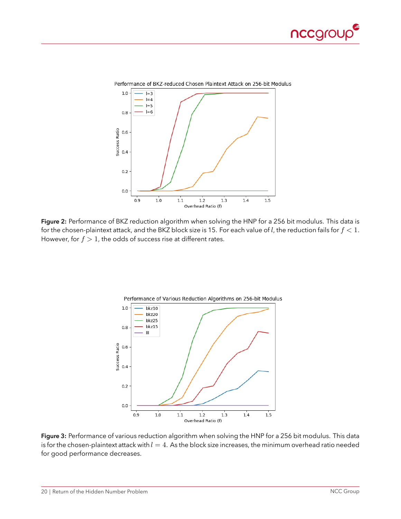

<span id="page-19-0"></span>

<span id="page-19-1"></span>**Figure 2:** Performance of BKZ reduction algorithm when solving the HNP for a 256 bit modulus. This data is for the chosen-plaintext attack, and the BKZ block size is 15. For each value of *l*, the reduction fails for  $f < 1$ . However, for  $f > 1$ , the odds of success rise at different rates.



**Figure 3:** Performance of various reduction algorithm when solving the HNP for a 256 bit modulus. This data is for the chosen-plaintext attack with  $l = 4$ . As the block size increases, the minimum overhead ratio needed for good performance decreases.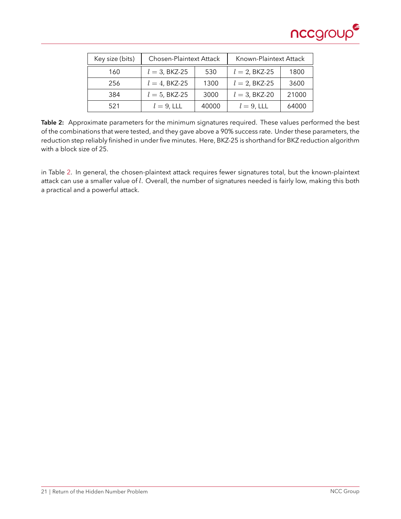

<span id="page-20-0"></span>

| Key size (bits) | Chosen-Plaintext Attack |       | Known-Plaintext Attack |       |
|-----------------|-------------------------|-------|------------------------|-------|
| 160             | $l = 3$ , BKZ-25        | 530   | $l = 2$ , BKZ-25       | 1800  |
| 256             | $l = 4$ , BKZ-25        | 1300  | $l = 2$ , BKZ-25       | 3600  |
| 384             | $l = 5$ , BKZ-25        | 3000  | $l = 3$ , BKZ-20       | 21000 |
| 521             | $l=9$ , LLL             | 40000 | $l=9$ , LLL            | 64000 |

**Table 2:** Approximate parameters for the minimum signatures required. These values performed the best of the combinations that were tested, and they gave above a 90% success rate. Under these parameters, the reduction step reliably finished in under five minutes. Here, BKZ-25 is shorthand for BKZ reduction algorithm with a block size of 25.

in Table [2.](#page-20-0) In general, the chosen-plaintext attack requires fewer signatures total, but the known-plaintext attack can use a smaller value of  $l$ . Overall, the number of signatures needed is fairly low, making this both a practical and a powerful attack.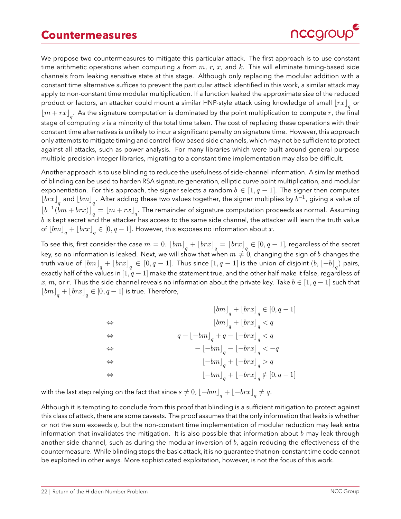### **Countermeasures**



<span id="page-21-0"></span>We propose two countermeasures to mitigate this particular attack. The first approach is to use constant time arithmetic operations when computing s from  $m, r, x$ , and k. This will eliminate timing-based side channels from leaking sensitive state at this stage. Although only replacing the modular addition with a constant time alternative suffices to prevent the particular attack identified in this work, a similar attack may apply to non-constant time modular multiplication. If a function leaked the approximate size of the reduced product or factors, an attacker could mount a similar HNP-style attack using knowledge of small  $\left\lfloor rx\right\rfloor_q$  or  $\lfloor m + rx \rfloor_q$ . As the signature computation is dominated by the point multiplication to compute  $r$ , the final stage of computing  $s$  is a minority of the total time taken. The cost of replacing these operations with their constant time alternatives is unlikely to incur a significant penalty on signature time. However, this approach only attempts to mitigate timing and control-flow based side channels, which may not be sufficient to protect against all attacks, such as power analysis. For many libraries which were built around general purpose multiple precision integer libraries, migrating to a constant time implementation may also be difficult.

Another approach is to use blinding to reduce the usefulness of side-channel information. A similar method of blinding can be used to harden RSA signature generation, elliptic curve point multiplication, and modular exponentiation. For this approach, the signer selects a random  $b \in [1, q-1]$ . The signer then computes  $\lfloor brx \rfloor_q$  and  $\lfloor bm \rfloor_q.$  After adding these two values together, the signer multiplies by  $b^{-1}$ , giving a value of  $\left\lfloor b^{-1}(bm+brx)\right\rfloor_q=\left\lfloor m+rx\right\rfloor_q.$  The remainder of signature computation proceeds as normal. Assuming  $b$  is kept secret and the attacker has access to the same side channel, the attacker will learn the truth value of  $\left\lfloor bm\right\rfloor_q+\left\lfloor brx\right\rfloor_q\in[0,q-1].$  However, this exposes no information about  $x.$ 

To see this, first consider the case  $m=0. \; \left\lfloor bm\right\rfloor_q+\left\lfloor brx\right\rfloor_q=\left\lfloor brx\right\rfloor_q\in[0,q-1]$ , regardless of the secret key, so no information is leaked. Next, we will show that when  $m \neq 0$ , changing the sign of *b* changes the truth value of  $\lfloor bm\rfloor_q+\lfloor brx\rfloor_q\in[0,q-1].$  Thus since  $[1,q-1]$  is the union of disjoint  $(b,\lfloor-b\rfloor_q)$  pairs, exactly half of the values in  $[1, q - 1]$  make the statement true, and the other half make it false, regardless of x, m, or r. Thus the side channel reveals no information about the private key. Take  $b \in [1, q-1]$  such that  $\left\lfloor bm\right\rfloor_q+\left\lfloor brx\right\rfloor_q\in\left[0,q-1\right]$  is true. Therefore,

$$
\begin{array}{lll} &&[bm]_q + \lfloor brx \rfloor_q \in [0,q-1] \\ \Leftrightarrow &&[bm]_q + \lfloor brx \rfloor_q < q \\ \Leftrightarrow &&q - \lfloor -bm \rfloor_q + q - \lfloor -brx \rfloor_q < q \\ \Leftrightarrow &&- \lfloor -bm \rfloor_q - \lfloor -brx \rfloor_q < -q \\ \Leftrightarrow &&\lfloor -bm \rfloor_q + \lfloor -brx \rfloor_q > q \\ \Leftrightarrow &&\lfloor -bm \rfloor_q + \lfloor -brx \rfloor_q \not \in [0,q-1] \end{array}
$$

with the last step relying on the fact that since  $s\neq 0$ ,  $\left\lfloor -b m\right\rfloor_q+\left\lfloor -b rx\right\rfloor_q\neq q.$ 

Although it is tempting to conclude from this proof that blinding is a sufficient mitigation to protect against this class of attack, there are some caveats. The proof assumes that the only information that leaks is whether or not the sum exceeds  $q$ , but the non-constant time implementation of modular reduction may leak extra information that invalidates the mitigation. It is also possible that information about  $b$  may leak through another side channel, such as during the modular inversion of  $b$ , again reducing the effectiveness of the countermeasure. While blinding stops the basic attack, it is no guarantee that non-constant time code cannot be exploited in other ways. More sophisticated exploitation, however, is not the focus of this work.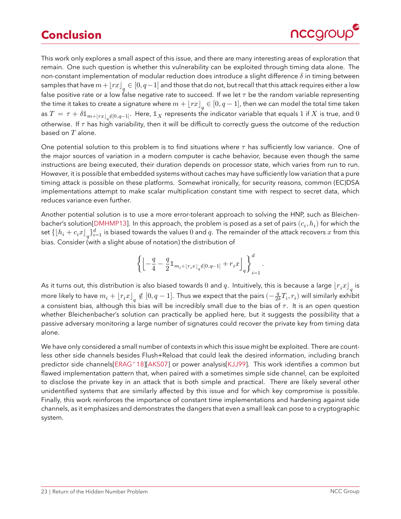# <span id="page-22-1"></span>**Conclusion**



<span id="page-22-0"></span>This work only explores a small aspect of this issue, and there are many interesting areas of exploration that remain. One such question is whether this vulnerability can be exploited through timing data alone. The non-constant implementation of modular reduction does introduce a slight difference  $\delta$  in timing between samples that have  $m+\lfloor rx\rfloor_q\in [0,q-1]$  and those that do not, but recall that this attack requires either a low false positive rate or a low false negative rate to succeed. If we let  $\tau$  be the random variable representing the time it takes to create a signature where  $m+\lfloor rx\rfloor_q\in[0,q-1]$ , then we can model the total time taken as  $T=\tau+\delta \mathbb{1}_{m+\lfloor rx\rfloor_q}\notin [0,q-1]$ . Here,  $\mathbb{1}_X$  represents the indicator variable that equals  $1$  if  $X$  is true, and  $0$ otherwise. If  $\tau$  has high variability, then it will be difficult to correctly guess the outcome of the reduction based on  $T$  alone.

One potential solution to this problem is to find situations where  $\tau$  has sufficiently low variance. One of the major sources of variation in a modern computer is cache behavior, because even though the same instructions are being executed, their duration depends on processor state, which varies from run to run. However, it is possible that embedded systems without caches may have sufficiently low variation that a pure timing attack is possible on these platforms. Somewhat ironically, for security reasons, common (EC)DSA implementations attempt to make scalar multiplication constant time with respect to secret data, which reduces variance even further.

Another potential solution is to use a more error-tolerant approach to solving the HNP, such as Bleichen-bacher's solution[\[DMHMP13\]](#page-25-8). In this approach, the problem is posed as a set of pairs  $(c_i,h_i)$  for which the set  $\{\lfloor h_i+c_ix\rfloor_q\}_{i=1}^d$  is biased towards the values  $0$  and  $q.$  The remainder of the attack recovers  $x$  from this bias. Consider (with a slight abuse of notation) the distribution of

$$
\left\{\left\lfloor-\frac{q}{4}-\frac{q}{2}\mathbb{1}_{m_i+\lfloor r_i x\rfloor_q}\notin [0,q-1]}+r_ix\right\rfloor_q\right\}_{i=1}^d.
$$

As it turns out, this distribution is also biased towards  $0$  and  $q.$  Intuitively, this is because a large  $\lfloor r_ix\rfloor_q$  is more likely to have  $m_i+\lfloor r_ix\rfloor_q\notin[0,q-1].$  Thus we expect that the pairs  $(-\frac{q}{2\delta}T_i,r_i)$  will similarly exhibit a consistent bias, although this bias will be incredibly small due to the bias of  $\tau$ . It is an open question whether Bleichenbacher's solution can practically be applied here, but it suggests the possibility that a passive adversary monitoring a large number of signatures could recover the private key from timing data alone.

We have only considered a small number of contexts in which this issue might be exploited. There are countless other side channels besides Flush+Reload that could leak the desired information, including branch predictor side channels[\[ERAG](#page-25-15)<sup>+</sup>18][\[AKS07\]](#page-24-0) or power analysis[\[KJJ99\]](#page-26-17). This work identifies a common but flawed implementation pattern that, when paired with a sometimes simple side channel, can be exploited to disclose the private key in an attack that is both simple and practical. There are likely several other unidentified systems that are similarly affected by this issue and for which key compromise is possible. Finally, this work reinforces the importance of constant time implementations and hardening against side channels, as it emphasizes and demonstrates the dangers that even a small leak can pose to a cryptographic system.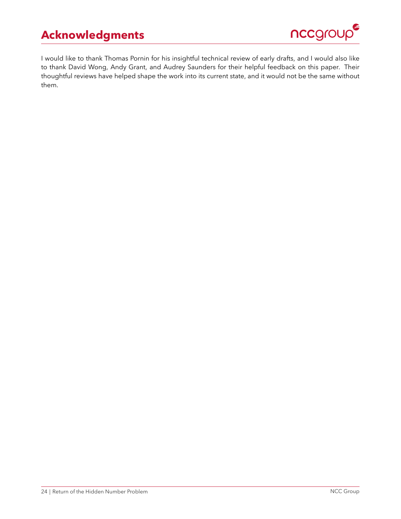# **Acknowledgments**



<span id="page-23-0"></span>I would like to thank Thomas Pornin for his insightful technical review of early drafts, and I would also like to thank David Wong, Andy Grant, and Audrey Saunders for their helpful feedback on this paper. Their thoughtful reviews have helped shape the work into its current state, and it would not be the same without them.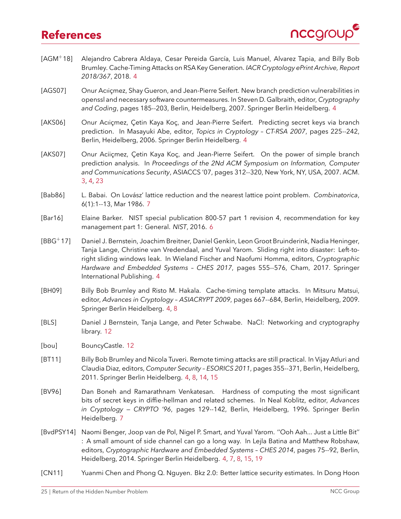### **References**



- <span id="page-24-1"></span>[AGM+18] Alejandro Cabrera Aldaya, Cesar Pereida García, Luis Manuel, Alvarez Tapia, and Billy Bob Brumley. Cache-Timing Attacks on RSA Key Generation. *IACR Cryptology ePrint Archive, Report 2018/367*, 2018. [4](#page-3-1)
- <span id="page-24-7"></span>[AGS07] Onur Acıiçmez, Shay Gueron, and Jean-Pierre Seifert. New branch prediction vulnerabilities in openssl and necessary software countermeasures. In Steven D. Galbraith, editor, *Cryptography and Coding*, pages 185--203, Berlin, Heidelberg, 2007. Springer Berlin Heidelberg. [4](#page-3-1)
- <span id="page-24-6"></span>[AKS06] Onur Acıiçmez, Çetin Kaya Koç, and Jean-Pierre Seifert. Predicting secret keys via branch prediction. In Masayuki Abe, editor, *Topics in Cryptology – CT-RSA 2007*, pages 225--242, Berlin, Heidelberg, 2006. Springer Berlin Heidelberg. [4](#page-3-1)
- <span id="page-24-0"></span>[AKS07] Onur Aciiçmez, Çetin Kaya Koç, and Jean-Pierre Seifert. On the power of simple branch prediction analysis. In *Proceedings of the 2Nd ACM Symposium on Information, Computer and Communications Security*, ASIACCS '07, pages 312--320, New York, NY, USA, 2007. ACM. [3,](#page-2-3) [4,](#page-3-1) [23](#page-22-1)
- <span id="page-24-10"></span>[Bab86] L. Babai. On Lovász' lattice reduction and the nearest lattice point problem. *Combinatorica*, 6(1):1--13, Mar 1986. [7](#page-6-1)
- <span id="page-24-8"></span>[Bar16] Elaine Barker. NIST special publication 800-57 part 1 revision 4, recommendation for key management part 1: General. *NIST*, 2016. [6](#page-5-2)
- <span id="page-24-2"></span>[BBG+17] Daniel J. Bernstein, Joachim Breitner, Daniel Genkin, Leon Groot Bruinderink, Nadia Heninger, Tanja Lange, Christine van Vredendaal, and Yuval Yarom. Sliding right into disaster: Left-toright sliding windows leak. In Wieland Fischer and Naofumi Homma, editors, *Cryptographic Hardware and Embedded Systems – CHES 2017*, pages 555--576, Cham, 2017. Springer International Publishing. [4](#page-3-1)
- <span id="page-24-5"></span>[BH09] Billy Bob Brumley and Risto M. Hakala. Cache-timing template attacks. In Mitsuru Matsui, editor, *Advances in Cryptology – ASIACRYPT 2009*, pages 667--684, Berlin, Heidelberg, 2009. Springer Berlin Heidelberg. [4,](#page-3-1) [8](#page-7-1)
- <span id="page-24-13"></span>[BLS] Daniel J Bernstein, Tanja Lange, and Peter Schwabe. NaCl: Networking and cryptography library. [12](#page-11-1)
- <span id="page-24-12"></span>[bou] BouncyCastle. [12](#page-11-1)
- <span id="page-24-4"></span>[BT11] Billy Bob Brumley and Nicola Tuveri. Remote timing attacks are still practical. In Vijay Atluri and Claudia Diaz, editors, *Computer Security – ESORICS 2011*, pages 355--371, Berlin, Heidelberg, 2011. Springer Berlin Heidelberg. [4,](#page-3-1) [8,](#page-7-1) [14,](#page-13-1) [15](#page-14-1)
- <span id="page-24-9"></span>[BV96] Dan Boneh and Ramarathnam Venkatesan. Hardness of computing the most significant bits of secret keys in diffie-hellman and related schemes. In Neal Koblitz, editor, *Advances in Cryptology — CRYPTO '96*, pages 129--142, Berlin, Heidelberg, 1996. Springer Berlin Heidelberg. [7](#page-6-1)
- <span id="page-24-3"></span>[BvdPSY14] Naomi Benger, Joop van de Pol, Nigel P. Smart, and Yuval Yarom. ``Ooh Aah... Just a Little Bit'' : A small amount of side channel can go a long way. In Lejla Batina and Matthew Robshaw, editors, *Cryptographic Hardware and Embedded Systems – CHES 2014*, pages 75--92, Berlin, Heidelberg, 2014. Springer Berlin Heidelberg. [4,](#page-3-1) [7,](#page-6-1) [8,](#page-7-1) [15,](#page-14-1) [19](#page-18-1)
- <span id="page-24-11"></span>[CN11] Yuanmi Chen and Phong Q. Nguyen. Bkz 2.0: Better lattice security estimates. In Dong Hoon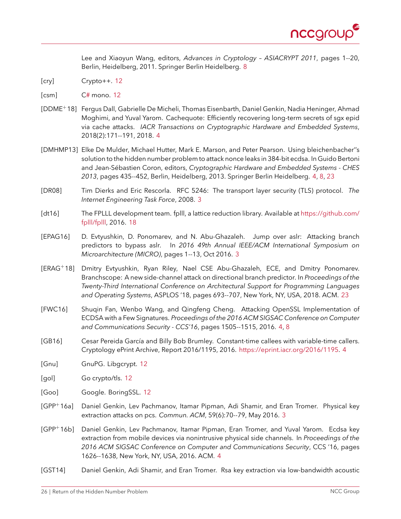

Lee and Xiaoyun Wang, editors, *Advances in Cryptology – ASIACRYPT 2011*, pages 1--20, Berlin, Heidelberg, 2011. Springer Berlin Heidelberg. [8](#page-7-1)

- <span id="page-25-11"></span>[cry] Crypto++. [12](#page-11-1)
- <span id="page-25-13"></span>[csm] [C#](#) mono. [12](#page-11-1)
- <span id="page-25-4"></span>[DDME+18] Fergus Dall, Gabrielle De Micheli, Thomas Eisenbarth, Daniel Genkin, Nadia Heninger, Ahmad Moghimi, and Yuval Yarom. Cachequote: Efficiently recovering long-term secrets of sgx epid via cache attacks. *IACR Transactions on Cryptographic Hardware and Embedded Systems*, 2018(2):171--191, 2018. [4](#page-3-1)
- <span id="page-25-8"></span>[DMHMP13] Elke De Mulder, Michael Hutter, Mark E. Marson, and Peter Pearson. Using bleichenbacher''s solution to the hidden number problem to attack nonce leaks in 384-bit ecdsa. In Guido Bertoni and Jean-Sébastien Coron, editors, *Cryptographic Hardware and Embedded Systems - CHES 2013*, pages 435--452, Berlin, Heidelberg, 2013. Springer Berlin Heidelberg. [4,](#page-3-1) [8,](#page-7-1) [23](#page-22-1)
- <span id="page-25-0"></span>[DR08] Tim Dierks and Eric Rescorla. RFC 5246: The transport layer security (TLS) protocol. *The Internet Engineering Task Force*, 2008. [3](#page-2-3)
- <span id="page-25-14"></span>[dt16] The FPLLL development team. fplll, a lattice reduction library. Available at [https://github.com/](https://github.com/fplll/fplll) [fplll/fplll,](https://github.com/fplll/fplll) 2016. [18](#page-17-2)
- <span id="page-25-1"></span>[EPAG16] D. Evtyushkin, D. Ponomarev, and N. Abu-Ghazaleh. Jump over aslr: Attacking branch predictors to bypass aslr. In *2016 49th Annual IEEE/ACM International Symposium on Microarchitecture (MICRO)*, pages 1--13, Oct 2016. [3](#page-2-3)
- <span id="page-25-15"></span>[ERAG<sup>+</sup>18] Dmitry Evtyushkin, Ryan Riley, Nael CSE Abu-Ghazaleh, ECE, and Dmitry Ponomarev. Branchscope: A new side-channel attack on directional branch predictor. In *Proceedings of the Twenty-Third International Conference on Architectural Support for Programming Languages and Operating Systems*, ASPLOS '18, pages 693--707, New York, NY, USA, 2018. ACM. [23](#page-22-1)
- <span id="page-25-6"></span>[FWC16] Shuqin Fan, Wenbo Wang, and Qingfeng Cheng. Attacking OpenSSL Implementation of ECDSA with a Few Signatures. *Proceedings of the 2016 ACM SIGSAC Conference on Computer and Communications Security - CCS'16*, pages 1505--1515, 2016. [4,](#page-3-1) [8](#page-7-1)
- <span id="page-25-5"></span>[GB16] Cesar Pereida García and Billy Bob Brumley. Constant-time callees with variable-time callers. Cryptology ePrint Archive, Report 2016/1195, 2016. [https://eprint.iacr.org/2016/1195.](https://eprint.iacr.org/2016/1195) [4](#page-3-1)
- <span id="page-25-9"></span>[Gnu] GnuPG. Libgcrypt. [12](#page-11-1)
- <span id="page-25-12"></span>[gol] Go crypto/tls. [12](#page-11-1)
- <span id="page-25-10"></span>[Goo] Google. BoringSSL. [12](#page-11-1)
- <span id="page-25-2"></span>[GPP+16a] Daniel Genkin, Lev Pachmanov, Itamar Pipman, Adi Shamir, and Eran Tromer. Physical key extraction attacks on pcs. *Commun. ACM*, 59(6):70--79, May 2016. [3](#page-2-3)
- <span id="page-25-7"></span>[GPP+16b] Daniel Genkin, Lev Pachmanov, Itamar Pipman, Eran Tromer, and Yuval Yarom. Ecdsa key extraction from mobile devices via nonintrusive physical side channels. In *Proceedings of the 2016 ACM SIGSAC Conference on Computer and Communications Security*, CCS '16, pages 1626--1638, New York, NY, USA, 2016. ACM. [4](#page-3-1)
- <span id="page-25-3"></span>[GST14] Daniel Genkin, Adi Shamir, and Eran Tromer. Rsa key extraction via low-bandwidth acoustic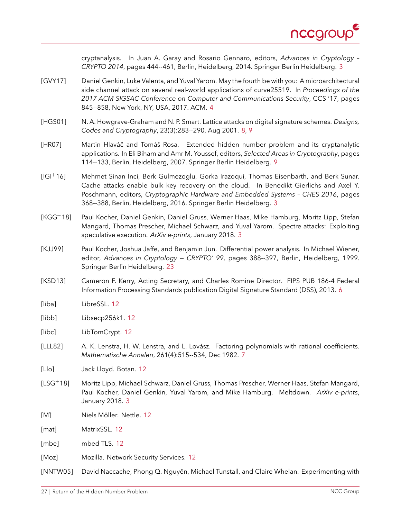

cryptanalysis. In Juan A. Garay and Rosario Gennaro, editors, *Advances in Cryptology – CRYPTO 2014*, pages 444--461, Berlin, Heidelberg, 2014. Springer Berlin Heidelberg. [3](#page-2-3)

- <span id="page-26-3"></span>[GVY17] Daniel Genkin, Luke Valenta, and Yuval Yarom. May the fourth be with you: A microarchitectural side channel attack on several real-world applications of curve25519. In *Proceedings of the 2017 ACM SIGSAC Conference on Computer and Communications Security*, CCS '17, pages 845--858, New York, NY, USA, 2017. ACM. [4](#page-3-1)
- <span id="page-26-6"></span>[HGS01] N. A. Howgrave-Graham and N. P. Smart. Lattice attacks on digital signature schemes. *Designs, Codes and Cryptography*, 23(3):283--290, Aug 2001. [8,](#page-7-1) [9](#page-8-0)
- <span id="page-26-8"></span>[HR07] Martin Hlaváč and Tomáš Rosa. Extended hidden number problem and its cryptanalytic applications. In Eli Biham and Amr M. Youssef, editors, *Selected Areas in Cryptography*, pages 114--133, Berlin, Heidelberg, 2007. Springer Berlin Heidelberg. [9](#page-8-0)
- <span id="page-26-2"></span>[İGI+16] Mehmet Sinan İnci, Berk Gulmezoglu, Gorka Irazoqui, Thomas Eisenbarth, and Berk Sunar. Cache attacks enable bulk key recovery on the cloud. In Benedikt Gierlichs and Axel Y. Poschmann, editors, *Cryptographic Hardware and Embedded Systems – CHES 2016*, pages 368--388, Berlin, Heidelberg, 2016. Springer Berlin Heidelberg. [3](#page-2-3)
- <span id="page-26-0"></span>[KGG+18] Paul Kocher, Daniel Genkin, Daniel Gruss, Werner Haas, Mike Hamburg, Moritz Lipp, Stefan Mangard, Thomas Prescher, Michael Schwarz, and Yuval Yarom. Spectre attacks: Exploiting speculative execution. *ArXiv e-prints*, January 2018. [3](#page-2-3)
- <span id="page-26-17"></span>[KJJ99] Paul Kocher, Joshua Jaffe, and Benjamin Jun. Differential power analysis. In Michael Wiener, editor, *Advances in Cryptology — CRYPTO' 99*, pages 388--397, Berlin, Heidelberg, 1999. Springer Berlin Heidelberg. [23](#page-22-1)
- <span id="page-26-4"></span>[KSD13] Cameron F. Kerry, Acting Secretary, and Charles Romine Director. FIPS PUB 186-4 Federal Information Processing Standards publication Digital Signature Standard (DSS), 2013. [6](#page-5-2)
- <span id="page-26-9"></span>[liba] LibreSSL. [12](#page-11-1)
- <span id="page-26-16"></span>[libb] Libsecp256k1. [12](#page-11-1)
- <span id="page-26-12"></span>[libc] LibTomCrypt. [12](#page-11-1)
- <span id="page-26-5"></span>[LLL82] A. K. Lenstra, H. W. Lenstra, and L. Lovász. Factoring polynomials with rational coefficients. *Mathematische Annalen*, 261(4):515--534, Dec 1982. [7](#page-6-1)
- <span id="page-26-11"></span>[Llo] Jack Lloyd. Botan. [12](#page-11-1)
- <span id="page-26-1"></span>[LSG+18] Moritz Lipp, Michael Schwarz, Daniel Gruss, Thomas Prescher, Werner Haas, Stefan Mangard, Paul Kocher, Daniel Genkin, Yuval Yarom, and Mike Hamburg. Meltdown. *ArXiv e-prints*, January 2018. [3](#page-2-3)
- <span id="page-26-15"></span>[M] Niels Möller. Nettle. [12](#page-11-1)
- <span id="page-26-13"></span>[mat] MatrixSSL. [12](#page-11-1)
- <span id="page-26-14"></span>[mbe] mbed TLS. [12](#page-11-1)
- <span id="page-26-10"></span>[Moz] Mozilla. Network Security Services. [12](#page-11-1)

<span id="page-26-7"></span>[NNTW05] David Naccache, Phong Q. Nguyên, Michael Tunstall, and Claire Whelan. Experimenting with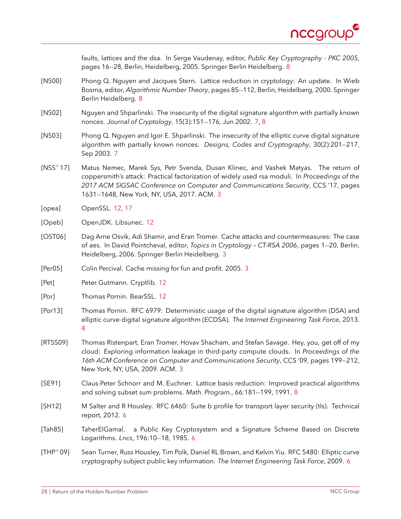

faults, lattices and the dsa. In Serge Vaudenay, editor, *Public Key Cryptography - PKC 2005*, pages 16--28, Berlin, Heidelberg, 2005. Springer Berlin Heidelberg. [8](#page-7-1)

- <span id="page-27-10"></span>[NS00] Phong Q. Nguyen and Jacques Stern. Lattice reduction in cryptology: An update. In Wieb Bosma, editor, *Algorithmic Number Theory*, pages 85--112, Berlin, Heidelberg, 2000. Springer Berlin Heidelberg. [8](#page-7-1)
- <span id="page-27-8"></span>[NS02] Nguyen and Shparlinski. The insecurity of the digital signature algorithm with partially known nonces. *Journal of Cryptology*, 15(3):151--176, Jun 2002. [7,](#page-6-1) [8](#page-7-1)
- <span id="page-27-9"></span>[NS03] Phong Q. Nguyen and Igor E. Shparlinski. The insecurity of the elliptic curve digital signature algorithm with partially known nonces. *Designs, Codes and Cryptography*, 30(2):201--217, Sep 2003. [7](#page-6-1)
- <span id="page-27-0"></span>[NSS+17] Matus Nemec, Marek Sys, Petr Svenda, Dusan Klinec, and Vashek Matyas. The return of coppersmith's attack: Practical factorization of widely used rsa moduli. In *Proceedings of the 2017 ACM SIGSAC Conference on Computer and Communications Security*, CCS '17, pages 1631--1648, New York, NY, USA, 2017. ACM. [3](#page-2-3)
- <span id="page-27-13"></span>[opea] OpenSSL. [12,](#page-11-1) [17](#page-16-3)
- <span id="page-27-14"></span>[Opeb] OpenJDK. Libsunec. [12](#page-11-1)
- <span id="page-27-1"></span>[OST06] Dag Arne Osvik, Adi Shamir, and Eran Tromer. Cache attacks and countermeasures: The case of aes. In David Pointcheval, editor, *Topics in Cryptology – CT-RSA 2006*, pages 1--20, Berlin, Heidelberg, 2006. Springer Berlin Heidelberg. [3](#page-2-3)
- <span id="page-27-2"></span>[Per05] Colin Percival. Cache missing for fun and profit. 2005. [3](#page-2-3)
- <span id="page-27-12"></span>[Pet] Peter Gutmann. Cryptlib. [12](#page-11-1)
- <span id="page-27-15"></span>[Por] Thomas Pornin. BearSSL. [12](#page-11-1)
- <span id="page-27-4"></span>[Por13] Thomas Pornin. RFC 6979: Deterministic usage of the digital signature algorithm (DSA) and elliptic curve digital signature algorithm (ECDSA). *The Internet Engineering Task Force*, 2013. [4](#page-3-1)
- <span id="page-27-3"></span>[RTSS09] Thomas Ristenpart, Eran Tromer, Hovav Shacham, and Stefan Savage. Hey, you, get off of my cloud: Exploring information leakage in third-party compute clouds. In *Proceedings of the 16th ACM Conference on Computer and Communications Security*, CCS '09, pages 199--212, New York, NY, USA, 2009. ACM. [3](#page-2-3)
- <span id="page-27-11"></span>[SE91] Claus-Peter Schnorr and M. Euchner. Lattice basis reduction: Improved practical algorithms and solving subset sum problems. *Math. Program.*, 66:181--199, 1991. [8](#page-7-1)
- <span id="page-27-6"></span>[SH12] M Salter and R Housley. RFC 6460: Suite b profile for transport layer security (tls). Technical report, 2012. [6](#page-5-2)
- <span id="page-27-5"></span>[Tah85] TaherElGamal. a Public Key Cryptosystem and a Signature Scheme Based on Discrete Logarithms. *Lncs*, 196:10--18, 1985. [6](#page-5-2)
- <span id="page-27-7"></span>[THP+09] Sean Turner, Russ Housley, Tim Polk, Daniel RL Brown, and Kelvin Yiu. RFC 5480: Elliptic curve cryptography subject public key information. *The Internet Engineering Task Force*, 2009. [6](#page-5-2)